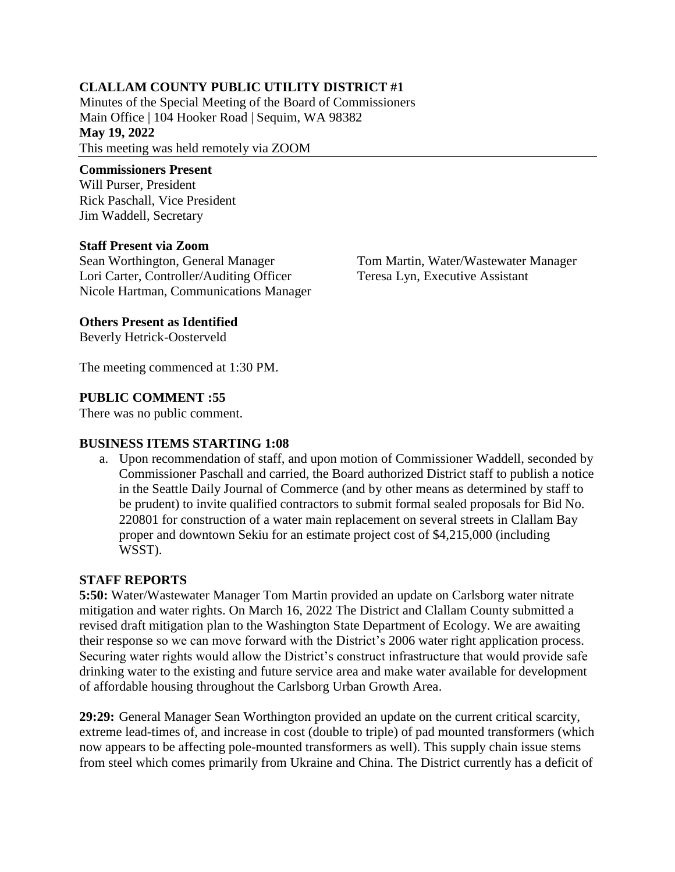## **CLALLAM COUNTY PUBLIC UTILITY DISTRICT #1**

Minutes of the Special Meeting of the Board of Commissioners Main Office | 104 Hooker Road | Sequim, WA 98382 **May 19, 2022** This meeting was held remotely via ZOOM

#### **Commissioners Present**

Will Purser, President Rick Paschall, Vice President Jim Waddell, Secretary

#### **Staff Present via Zoom**

Sean Worthington, General Manager Lori Carter, Controller/Auditing Officer Nicole Hartman, Communications Manager Tom Martin, Water/Wastewater Manager Teresa Lyn, Executive Assistant

### **Others Present as Identified**

Beverly Hetrick-Oosterveld

The meeting commenced at 1:30 PM.

### **PUBLIC COMMENT :55**

There was no public comment.

#### **BUSINESS ITEMS STARTING 1:08**

a. Upon recommendation of staff, and upon motion of Commissioner Waddell, seconded by Commissioner Paschall and carried, the Board authorized District staff to publish a notice in the Seattle Daily Journal of Commerce (and by other means as determined by staff to be prudent) to invite qualified contractors to submit formal sealed proposals for Bid No. 220801 for construction of a water main replacement on several streets in Clallam Bay proper and downtown Sekiu for an estimate project cost of \$4,215,000 (including WSST).

#### **STAFF REPORTS**

**5:50:** Water/Wastewater Manager Tom Martin provided an update on Carlsborg water nitrate mitigation and water rights. On March 16, 2022 The District and Clallam County submitted a revised draft mitigation plan to the Washington State Department of Ecology. We are awaiting their response so we can move forward with the District's 2006 water right application process. Securing water rights would allow the District's construct infrastructure that would provide safe drinking water to the existing and future service area and make water available for development of affordable housing throughout the Carlsborg Urban Growth Area.

**29:29:** General Manager Sean Worthington provided an update on the current critical scarcity, extreme lead-times of, and increase in cost (double to triple) of pad mounted transformers (which now appears to be affecting pole-mounted transformers as well). This supply chain issue stems from steel which comes primarily from Ukraine and China. The District currently has a deficit of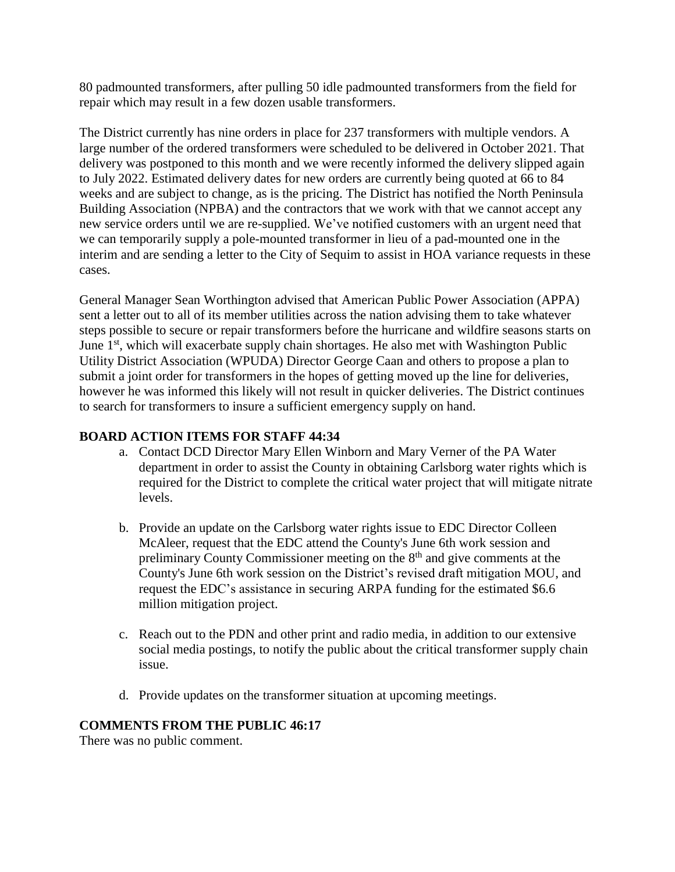80 padmounted transformers, after pulling 50 idle padmounted transformers from the field for repair which may result in a few dozen usable transformers.

The District currently has nine orders in place for 237 transformers with multiple vendors. A large number of the ordered transformers were scheduled to be delivered in October 2021. That delivery was postponed to this month and we were recently informed the delivery slipped again to July 2022. Estimated delivery dates for new orders are currently being quoted at 66 to 84 weeks and are subject to change, as is the pricing. The District has notified the North Peninsula Building Association (NPBA) and the contractors that we work with that we cannot accept any new service orders until we are re-supplied. We've notified customers with an urgent need that we can temporarily supply a pole-mounted transformer in lieu of a pad-mounted one in the interim and are sending a letter to the City of Sequim to assist in HOA variance requests in these cases.

General Manager Sean Worthington advised that American Public Power Association (APPA) sent a letter out to all of its member utilities across the nation advising them to take whatever steps possible to secure or repair transformers before the hurricane and wildfire seasons starts on June 1<sup>st</sup>, which will exacerbate supply chain shortages. He also met with Washington Public Utility District Association (WPUDA) Director George Caan and others to propose a plan to submit a joint order for transformers in the hopes of getting moved up the line for deliveries, however he was informed this likely will not result in quicker deliveries. The District continues to search for transformers to insure a sufficient emergency supply on hand.

### **BOARD ACTION ITEMS FOR STAFF 44:34**

- a. Contact DCD Director Mary Ellen Winborn and Mary Verner of the PA Water department in order to assist the County in obtaining Carlsborg water rights which is required for the District to complete the critical water project that will mitigate nitrate levels.
- b. Provide an update on the Carlsborg water rights issue to EDC Director Colleen McAleer, request that the EDC attend the County's June 6th work session and preliminary County Commissioner meeting on the 8th and give comments at the County's June 6th work session on the District's revised draft mitigation MOU, and request the EDC's assistance in securing ARPA funding for the estimated \$6.6 million mitigation project.
- c. Reach out to the PDN and other print and radio media, in addition to our extensive social media postings, to notify the public about the critical transformer supply chain issue.
- d. Provide updates on the transformer situation at upcoming meetings.

#### **COMMENTS FROM THE PUBLIC 46:17**

There was no public comment.